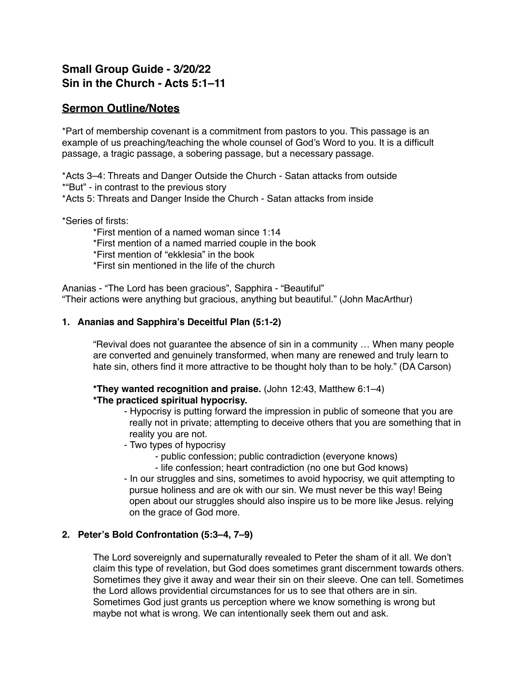# **Small Group Guide - 3/20/22 Sin in the Church - Acts 5:1–11**

## **Sermon Outline/Notes**

\*Part of membership covenant is a commitment from pastors to you. This passage is an example of us preaching/teaching the whole counsel of God's Word to you. It is a difficult passage, a tragic passage, a sobering passage, but a necessary passage.

\*Acts 3–4: Threats and Danger Outside the Church - Satan attacks from outside

\*"But" - in contrast to the previous story

\*Acts 5: Threats and Danger Inside the Church - Satan attacks from inside

\*Series of firsts:

\*First mention of a named woman since 1:14

\*First mention of a named married couple in the book

\*First mention of "ekklesia" in the book

\*First sin mentioned in the life of the church

Ananias - "The Lord has been gracious", Sapphira - "Beautiful" "Their actions were anything but gracious, anything but beautiful." (John MacArthur)

#### **1. Ananias and Sapphira's Deceitful Plan (5:1-2)**

"Revival does not guarantee the absence of sin in a community … When many people are converted and genuinely transformed, when many are renewed and truly learn to hate sin, others find it more attractive to be thought holy than to be holy." (DA Carson)

# **\*They wanted recognition and praise.** (John 12:43, Matthew 6:1–4)

### **\*The practiced spiritual hypocrisy.**

- Hypocrisy is putting forward the impression in public of someone that you are really not in private; attempting to deceive others that you are something that in reality you are not.

- Two types of hypocrisy
	- public confession; public contradiction (everyone knows)
	- life confession; heart contradiction (no one but God knows)
- In our struggles and sins, sometimes to avoid hypocrisy, we quit attempting to pursue holiness and are ok with our sin. We must never be this way! Being open about our struggles should also inspire us to be more like Jesus. relying on the grace of God more.

#### **2. Peter's Bold Confrontation (5:3–4, 7–9)**

The Lord sovereignly and supernaturally revealed to Peter the sham of it all. We don't claim this type of revelation, but God does sometimes grant discernment towards others. Sometimes they give it away and wear their sin on their sleeve. One can tell. Sometimes the Lord allows providential circumstances for us to see that others are in sin. Sometimes God just grants us perception where we know something is wrong but maybe not what is wrong. We can intentionally seek them out and ask.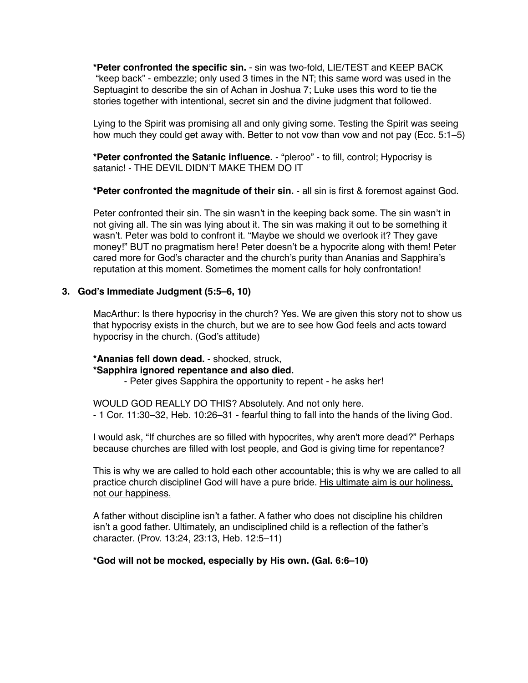**\*Peter confronted the specific sin.** - sin was two-fold, LIE/TEST and KEEP BACK "keep back" - embezzle; only used 3 times in the NT; this same word was used in the Septuagint to describe the sin of Achan in Joshua 7; Luke uses this word to tie the stories together with intentional, secret sin and the divine judgment that followed.

Lying to the Spirit was promising all and only giving some. Testing the Spirit was seeing how much they could get away with. Better to not vow than vow and not pay (Ecc. 5:1–5)

**\*Peter confronted the Satanic influence.** - "pleroo" - to fill, control; Hypocrisy is satanic! - THE DEVIL DIDN'T MAKE THEM DO IT

**\*Peter confronted the magnitude of their sin.** - all sin is first & foremost against God.

Peter confronted their sin. The sin wasn't in the keeping back some. The sin wasn't in not giving all. The sin was lying about it. The sin was making it out to be something it wasn't. Peter was bold to confront it. "Maybe we should we overlook it? They gave money!" BUT no pragmatism here! Peter doesn't be a hypocrite along with them! Peter cared more for God's character and the church's purity than Ananias and Sapphira's reputation at this moment. Sometimes the moment calls for holy confrontation!

#### **3. God's Immediate Judgment (5:5–6, 10)**

MacArthur: Is there hypocrisy in the church? Yes. We are given this story not to show us that hypocrisy exists in the church, but we are to see how God feels and acts toward hypocrisy in the church. (God's attitude)

**\*Ananias fell down dead.** - shocked, struck,

#### **\*Sapphira ignored repentance and also died.**

- Peter gives Sapphira the opportunity to repent - he asks her!

WOULD GOD REALLY DO THIS? Absolutely. And not only here. - 1 Cor. 11:30–32, Heb. 10:26–31 - fearful thing to fall into the hands of the living God.

I would ask, "If churches are so filled with hypocrites, why aren't more dead?" Perhaps because churches are filled with lost people, and God is giving time for repentance?

This is why we are called to hold each other accountable; this is why we are called to all practice church discipline! God will have a pure bride. His ultimate aim is our holiness, not our happiness.

A father without discipline isn't a father. A father who does not discipline his children isn't a good father. Ultimately, an undisciplined child is a reflection of the father's character. (Prov. 13:24, 23:13, Heb. 12:5–11)

#### **\*God will not be mocked, especially by His own. (Gal. 6:6–10)**